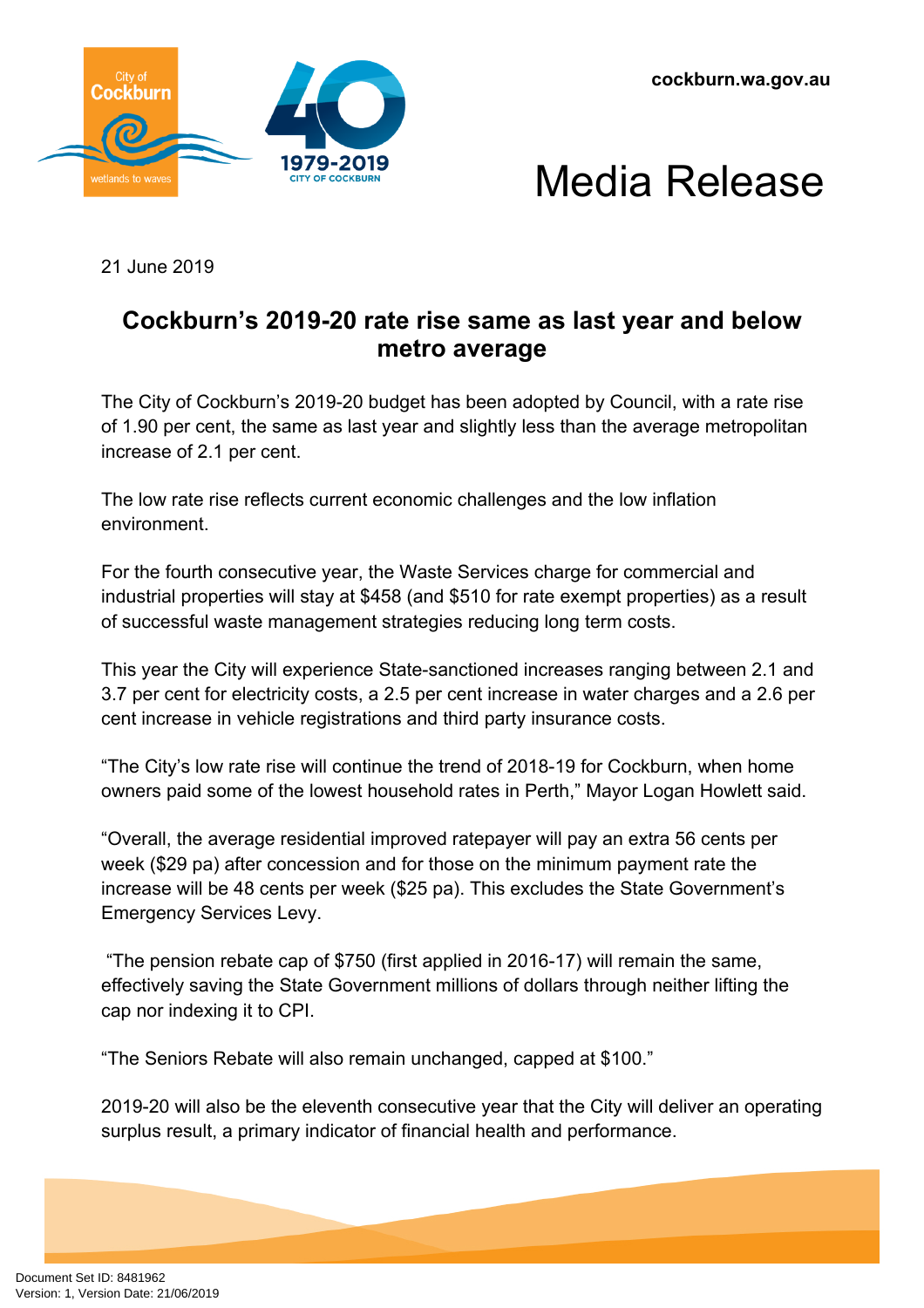





21 June 2019

## **Cockburn's 2019-20 rate rise same as last year and below metro average**

The City of Cockburn's 2019-20 budget has been adopted by Council, with a rate rise of 1.90 per cent, the same as last year and slightly less than the average metropolitan increase of 2.1 per cent.

The low rate rise reflects current economic challenges and the low inflation environment.

For the fourth consecutive year, the Waste Services charge for commercial and industrial properties will stay at \$458 (and \$510 for rate exempt properties) as a result of successful waste management strategies reducing long term costs.

This year the City will experience State-sanctioned increases ranging between 2.1 and 3.7 per cent for electricity costs, a 2.5 per cent increase in water charges and a 2.6 per cent increase in vehicle registrations and third party insurance costs.

"The City's low rate rise will continue the trend of 2018-19 for Cockburn, when home owners paid some of the lowest household rates in Perth," Mayor Logan Howlett said.

"Overall, the average residential improved ratepayer will pay an extra 56 cents per week (\$29 pa) after concession and for those on the minimum payment rate the increase will be 48 cents per week (\$25 pa). This excludes the State Government's Emergency Services Levy.

 "The pension rebate cap of \$750 (first applied in 2016-17) will remain the same, effectively saving the State Government millions of dollars through neither lifting the cap nor indexing it to CPI.

"The Seniors Rebate will also remain unchanged, capped at \$100."

2019-20 will also be the eleventh consecutive year that the City will deliver an operating surplus result, a primary indicator of financial health and performance.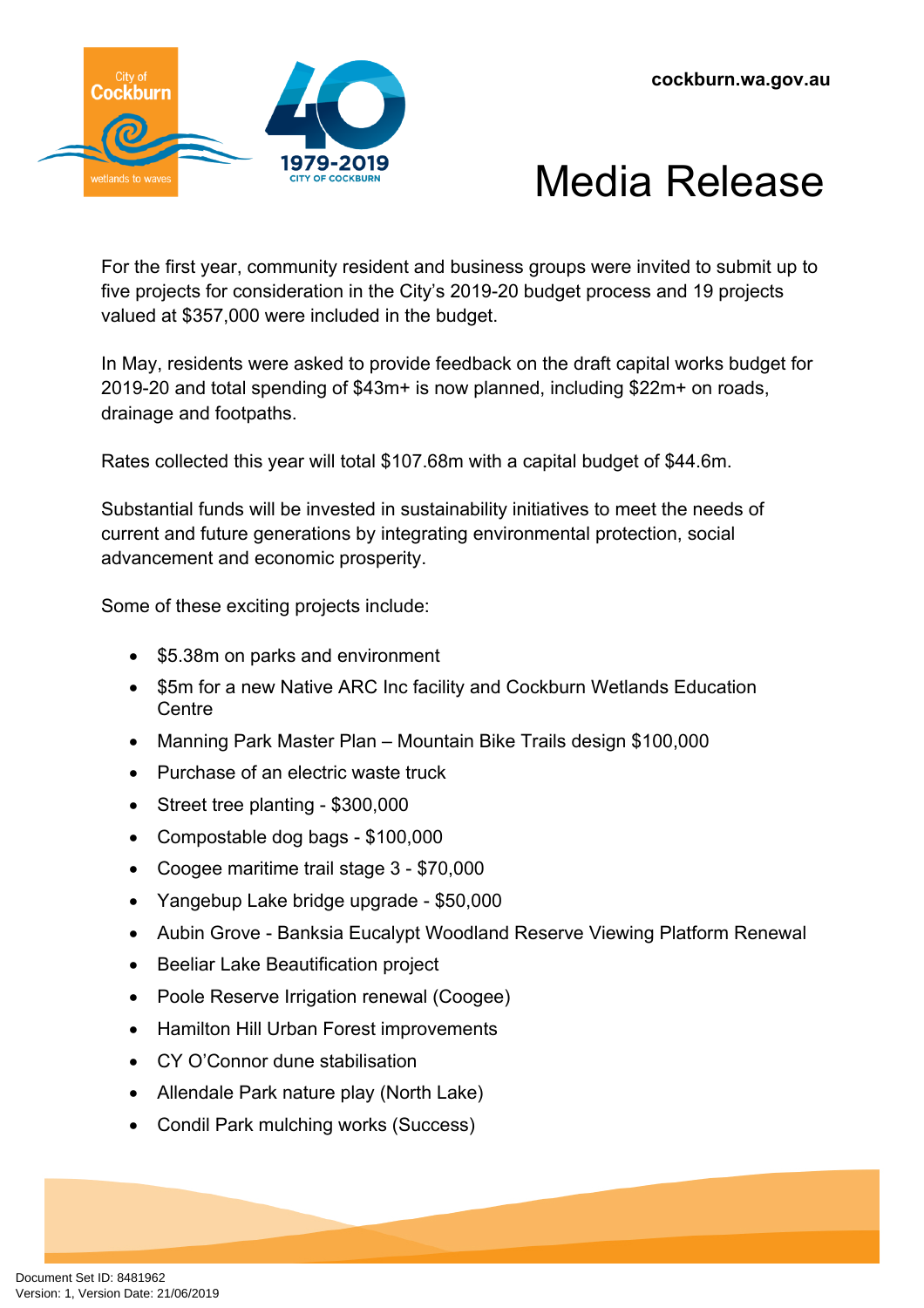



For the first year, community resident and business groups were invited to submit up to five projects for consideration in the City's 2019-20 budget process and 19 projects valued at \$357,000 were included in the budget.

In May, residents were asked to provide feedback on the draft capital works budget for 2019-20 and total spending of \$43m+ is now planned, including \$22m+ on roads, drainage and footpaths.

Rates collected this year will total \$107.68m with a capital budget of \$44.6m.

Substantial funds will be invested in sustainability initiatives to meet the needs of current and future generations by integrating environmental protection, social advancement and economic prosperity.

Some of these exciting projects include:

- \$5.38m on parks and environment
- \$5m for a new Native ARC Inc facility and Cockburn Wetlands Education **Centre**
- Manning Park Master Plan Mountain Bike Trails design \$100,000
- Purchase of an electric waste truck
- Street tree planting \$300,000
- Compostable dog bags \$100,000
- Coogee maritime trail stage 3 \$70,000
- Yangebup Lake bridge upgrade \$50,000
- Aubin Grove Banksia Eucalypt Woodland Reserve Viewing Platform Renewal
- Beeliar Lake Beautification project
- Poole Reserve Irrigation renewal (Coogee)
- Hamilton Hill Urban Forest improvements
- CY O'Connor dune stabilisation
- Allendale Park nature play (North Lake)
- Condil Park mulching works (Success)